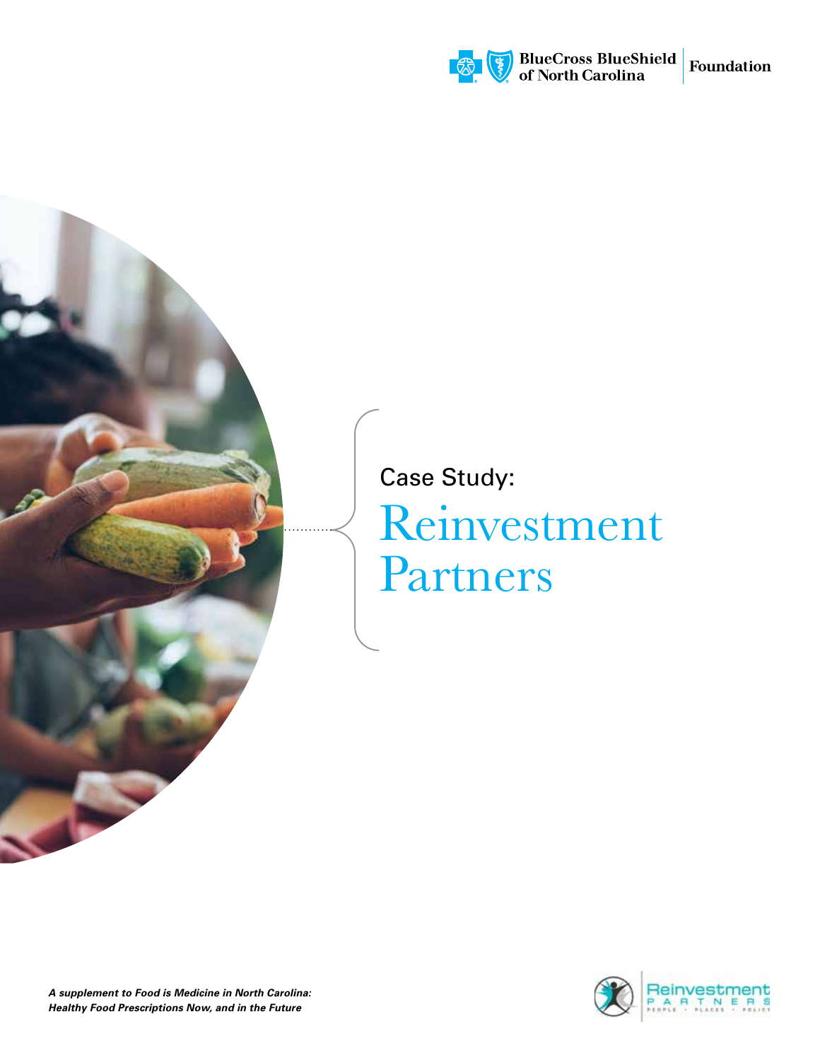

# Reinvestment Partners Case Study:

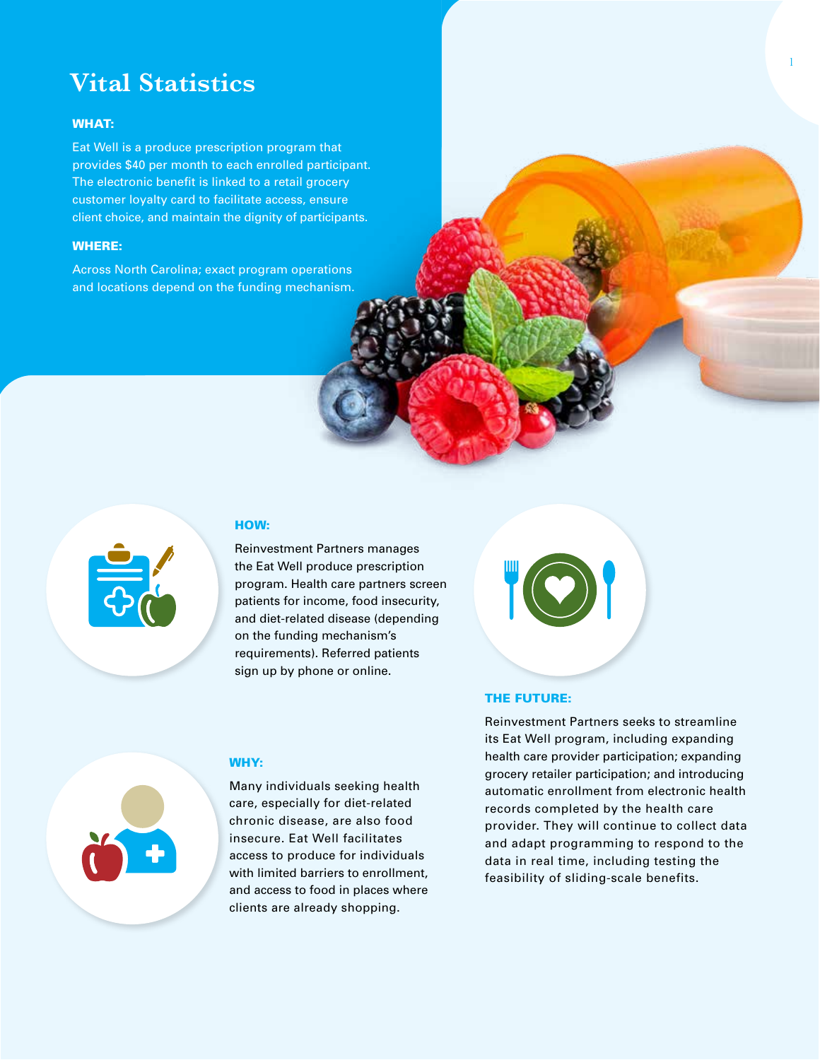# **Vital Statistics**

#### WHAT:

Eat Well is a produce prescription program that provides \$40 per month to each enrolled participant. The electronic benefit is linked to a retail grocery customer loyalty card to facilitate access, ensure client choice, and maintain the dignity of participants.

#### WHERE:

Across North Carolina; exact program operations and locations depend on the funding mechanism.



#### HOW:

WHY:

Reinvestment Partners manages the Eat Well produce prescription program. Health care partners screen patients for income, food insecurity, and diet-related disease (depending on the funding mechanism's requirements). Referred patients sign up by phone or online.

#### THE FUTURE:

Reinvestment Partners seeks to streamline its Eat Well program, including expanding health care provider participation; expanding grocery retailer participation; and introducing automatic enrollment from electronic health records completed by the health care provider. They will continue to collect data and adapt programming to respond to the data in real time, including testing the feasibility of sliding-scale benefits.



care, especially for diet-related chronic disease, are also food insecure. Eat Well facilitates access to produce for individuals with limited barriers to enrollment. and access to food in places where clients are already shopping.

Many individuals seeking health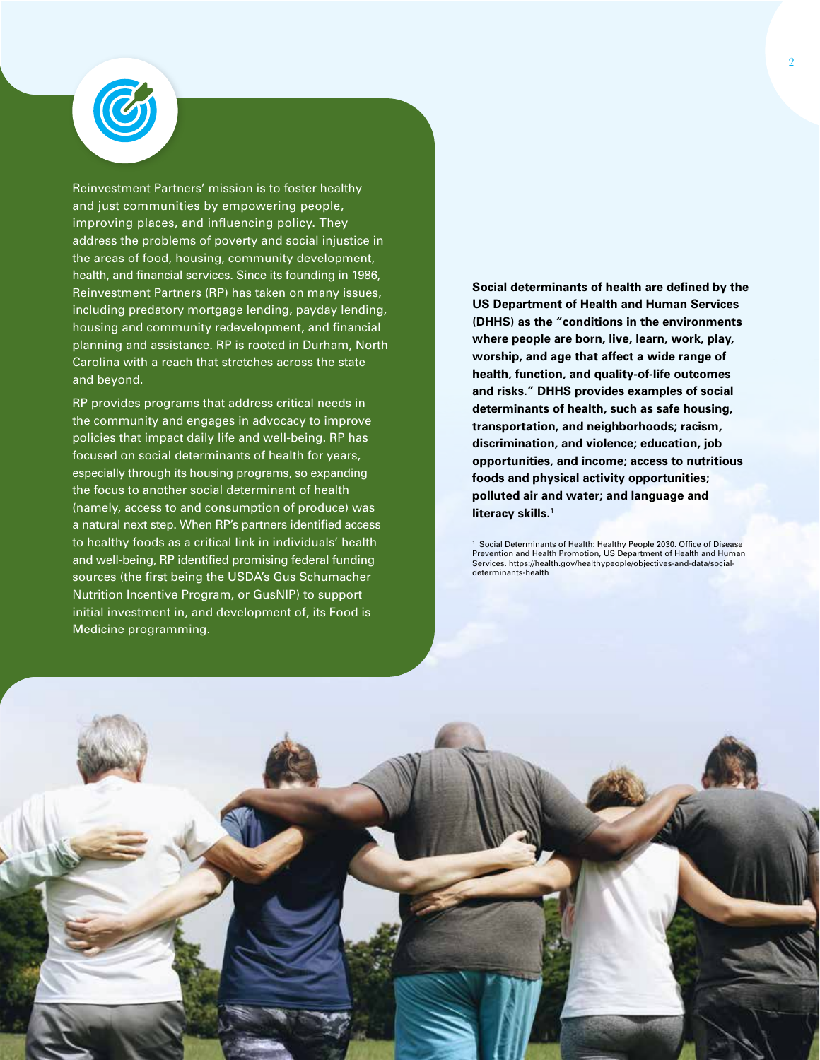

Reinvestment Partners' mission is to foster healthy and just communities by empowering people, improving places, and influencing policy. They address the problems of poverty and social injustice in the areas of food, housing, community development, health, and financial services. Since its founding in 1986, Reinvestment Partners (RP) has taken on many issues, including predatory mortgage lending, payday lending, housing and community redevelopment, and financial planning and assistance. RP is rooted in Durham, North Carolina with a reach that stretches across the state and beyond.

RP provides programs that address critical needs in the community and engages in advocacy to improve policies that impact daily life and well-being. RP has focused on social determinants of health for years, especially through its housing programs, so expanding the focus to another social determinant of health (namely, access to and consumption of produce) was a natural next step. When RP's partners identified access to healthy foods as a critical link in individuals' health and well-being, RP identified promising federal funding sources (the first being the USDA's Gus Schumacher Nutrition Incentive Program, or GusNIP) to support initial investment in, and development of, its Food is Medicine programming.

**Social determinants of health are defined by the US Department of Health and Human Services (DHHS) as the "conditions in the environments where people are born, live, learn, work, play, worship, and age that affect a wide range of health, function, and quality-of-life outcomes and risks." DHHS provides examples of social determinants of health, such as safe housing, transportation, and neighborhoods; racism, discrimination, and violence; education, job opportunities, and income; access to nutritious foods and physical activity opportunities; polluted air and water; and language and literacy skills.**<sup>1</sup>

<sup>1</sup> Social Determinants of Health: Healthy People 2030. Office of Disease Prevention and Health Promotion, US Department of Health and Human Services. https://health.gov/healthypeople/objectives-and-data/socialdeterminants-health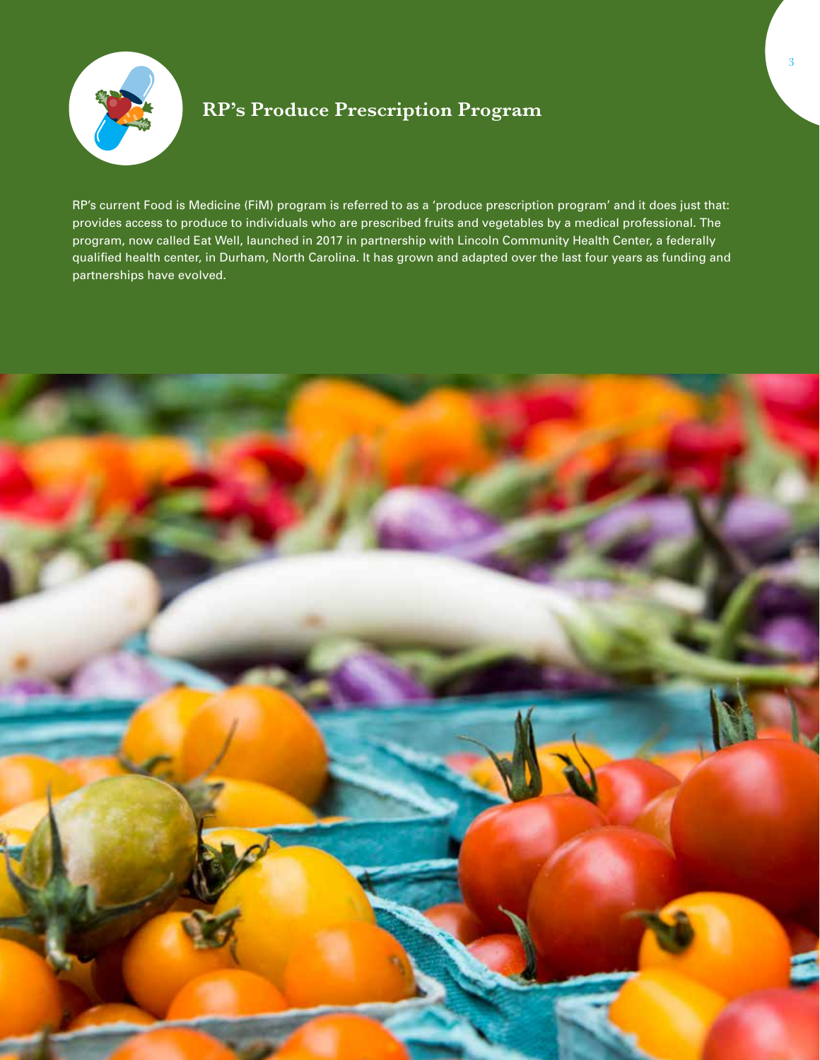

# **RP's Produce Prescription Program**

RP's current Food is Medicine (FiM) program is referred to as a 'produce prescription program' and it does just that: provides access to produce to individuals who are prescribed fruits and vegetables by a medical professional. The program, now called Eat Well, launched in 2017 in partnership with Lincoln Community Health Center, a federally qualified health center, in Durham, North Carolina. It has grown and adapted over the last four years as funding and partnerships have evolved.

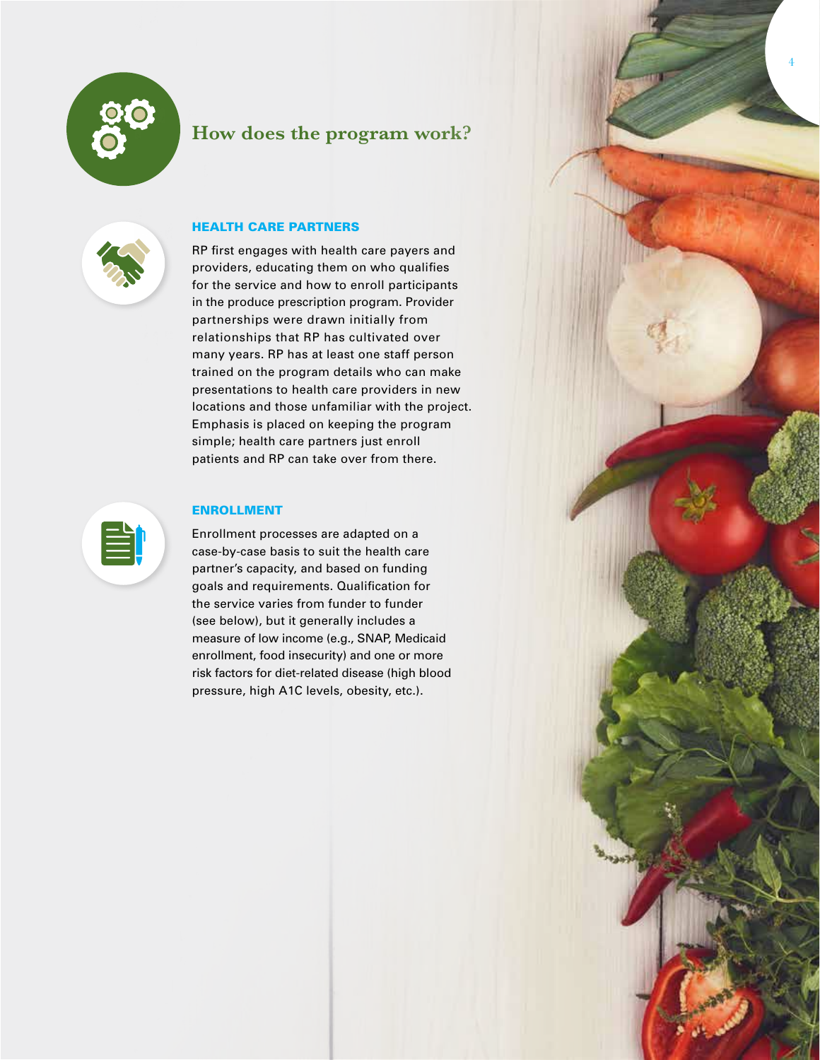

## **How does the program work?**

4



### HEALTH CARE PARTNERS

RP first engages with health care payers and providers, educating them on who qualifies for the service and how to enroll participants in the produce prescription program. Provider partnerships were drawn initially from relationships that RP has cultivated over many years. RP has at least one staff person trained on the program details who can make presentations to health care providers in new locations and those unfamiliar with the project. Emphasis is placed on keeping the program simple; health care partners just enroll patients and RP can take over from there.



#### ENROLLMENT

Enrollment processes are adapted on a case-by-case basis to suit the health care partner's capacity, and based on funding goals and requirements. Qualification for the service varies from funder to funder (see below), but it generally includes a measure of low income (e.g., SNAP, Medicaid enrollment, food insecurity) and one or more risk factors for diet-related disease (high blood pressure, high A1C levels, obesity, etc.).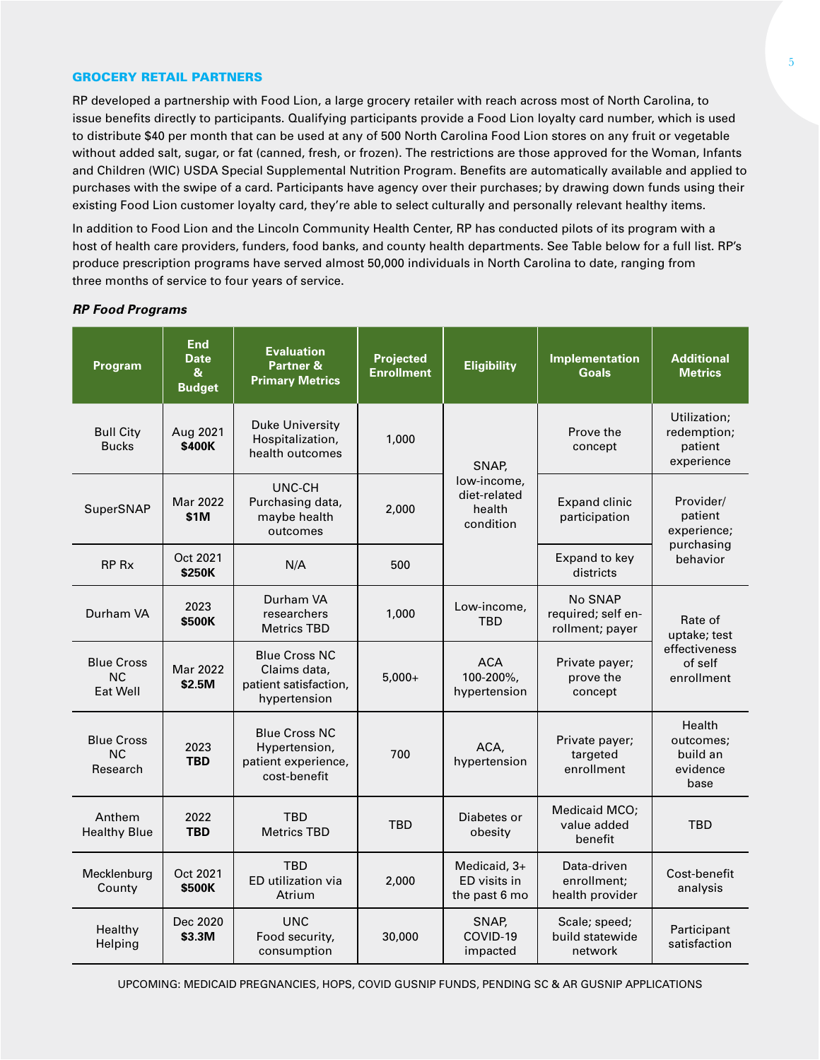#### GROCERY RETAIL PARTNERS

RP developed a partnership with Food Lion, a large grocery retailer with reach across most of North Carolina, to issue benefits directly to participants. Qualifying participants provide a Food Lion loyalty card number, which is used to distribute \$40 per month that can be used at any of 500 North Carolina Food Lion stores on any fruit or vegetable without added salt, sugar, or fat (canned, fresh, or frozen). The restrictions are those approved for the Woman, Infants and Children (WIC) USDA Special Supplemental Nutrition Program. Benefits are automatically available and applied to purchases with the swipe of a card. Participants have agency over their purchases; by drawing down funds using their existing Food Lion customer loyalty card, they're able to select culturally and personally relevant healthy items.

In addition to Food Lion and the Lincoln Community Health Center, RP has conducted pilots of its program with a host of health care providers, funders, food banks, and county health departments. See Table below for a full list. RP's produce prescription programs have served almost 50,000 individuals in North Carolina to date, ranging from three months of service to four years of service.

| Program                                    | <b>End</b><br><b>Date</b><br>$\boldsymbol{8}$<br><b>Budget</b> | <b>Evaluation</b><br>Partner &<br><b>Primary Metrics</b>                      | Projected<br><b>Enrollment</b> | <b>Eligibility</b>                                          | <b>Implementation</b><br><b>Goals</b>            | <b>Additional</b><br><b>Metrics</b>                               |
|--------------------------------------------|----------------------------------------------------------------|-------------------------------------------------------------------------------|--------------------------------|-------------------------------------------------------------|--------------------------------------------------|-------------------------------------------------------------------|
| <b>Bull City</b><br><b>Bucks</b>           | Aug 2021<br>\$400K                                             | <b>Duke University</b><br>Hospitalization,<br>health outcomes                 | 1,000                          | SNAP,<br>low-income,<br>diet-related<br>health<br>condition | Prove the<br>concept                             | Utilization;<br>redemption;<br>patient<br>experience              |
| SuperSNAP                                  | Mar 2022<br>\$1M                                               | UNC-CH<br>Purchasing data,<br>maybe health<br>outcomes                        | 2,000                          |                                                             | <b>Expand clinic</b><br>participation            | Provider/<br>patient<br>experience;<br>purchasing<br>behavior     |
| RP Rx                                      | Oct 2021<br>\$250K                                             | N/A                                                                           | 500                            |                                                             | Expand to key<br>districts                       |                                                                   |
| Durham VA                                  | 2023<br>\$500K                                                 | Durham VA<br>researchers<br><b>Metrics TBD</b>                                | 1,000                          | Low-income,<br><b>TBD</b>                                   | No SNAP<br>required; self en-<br>rollment; payer | Rate of<br>uptake; test<br>effectiveness<br>of self<br>enrollment |
| <b>Blue Cross</b><br><b>NC</b><br>Eat Well | Mar 2022<br>\$2.5M                                             | <b>Blue Cross NC</b><br>Claims data,<br>patient satisfaction,<br>hypertension | $5,000+$                       | <b>ACA</b><br>100-200%,<br>hypertension                     | Private payer;<br>prove the<br>concept           |                                                                   |
| <b>Blue Cross</b><br><b>NC</b><br>Research | 2023<br><b>TBD</b>                                             | <b>Blue Cross NC</b><br>Hypertension,<br>patient experience,<br>cost-benefit  | 700                            | ACA,<br>hypertension                                        | Private payer;<br>targeted<br>enrollment         | Health<br>outcomes;<br>build an<br>evidence<br>base               |
| Anthem<br><b>Healthy Blue</b>              | 2022<br><b>TBD</b>                                             | <b>TBD</b><br><b>Metrics TBD</b>                                              | <b>TBD</b>                     | Diabetes or<br>obesity                                      | Medicaid MCO:<br>value added<br>benefit          | TBD                                                               |
| Mecklenburg<br>County                      | Oct 2021<br>\$500K                                             | <b>TBD</b><br>ED utilization via<br>Atrium                                    | 2,000                          | Medicaid, 3+<br>ED visits in<br>the past 6 mo               | Data-driven<br>enrollment:<br>health provider    | Cost-benefit<br>analysis                                          |
| Healthy<br>Helping                         | Dec 2020<br>\$3.3M                                             | <b>UNC</b><br>Food security,<br>consumption                                   | 30,000                         | SNAP,<br>COVID-19<br>impacted                               | Scale; speed;<br>build statewide<br>network      | Participant<br>satisfaction                                       |

#### *RP Food Programs*

UPCOMING: MEDICAID PREGNANCIES, HOPS, COVID GUSNIP FUNDS, PENDING SC & AR GUSNIP APPLICATIONS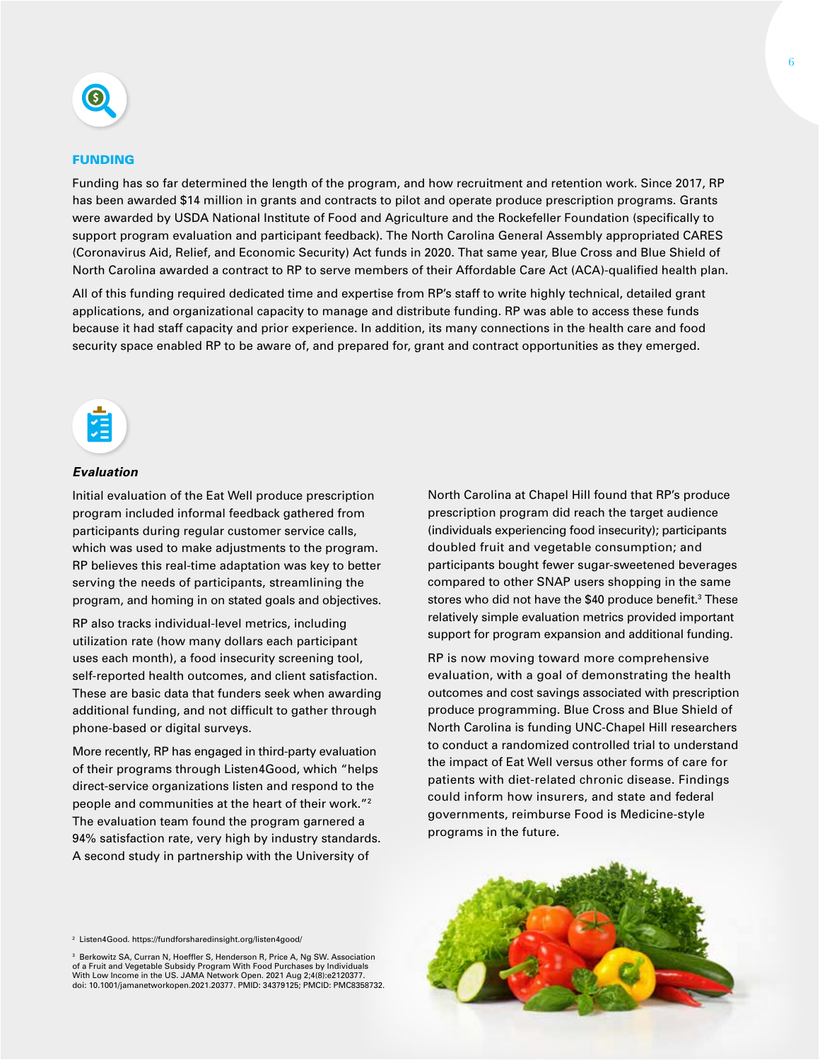

#### FUNDING

Funding has so far determined the length of the program, and how recruitment and retention work. Since 2017, RP has been awarded \$14 million in grants and contracts to pilot and operate produce prescription programs. Grants were awarded by USDA National Institute of Food and Agriculture and the Rockefeller Foundation (specifically to support program evaluation and participant feedback). The North Carolina General Assembly appropriated CARES (Coronavirus Aid, Relief, and Economic Security) Act funds in 2020. That same year, Blue Cross and Blue Shield of North Carolina awarded a contract to RP to serve members of their Affordable Care Act (ACA)-qualified health plan.

All of this funding required dedicated time and expertise from RP's staff to write highly technical, detailed grant applications, and organizational capacity to manage and distribute funding. RP was able to access these funds because it had staff capacity and prior experience. In addition, its many connections in the health care and food security space enabled RP to be aware of, and prepared for, grant and contract opportunities as they emerged.



#### *Evaluation*

Initial evaluation of the Eat Well produce prescription program included informal feedback gathered from participants during regular customer service calls, which was used to make adjustments to the program. RP believes this real-time adaptation was key to better serving the needs of participants, streamlining the program, and homing in on stated goals and objectives.

RP also tracks individual-level metrics, including utilization rate (how many dollars each participant uses each month), a food insecurity screening tool, self-reported health outcomes, and client satisfaction. These are basic data that funders seek when awarding additional funding, and not difficult to gather through phone-based or digital surveys.

More recently, RP has engaged in third-party evaluation of their programs through Listen4Good, which "helps direct-service organizations listen and respond to the people and communities at the heart of their work."2 The evaluation team found the program garnered a 94% satisfaction rate, very high by industry standards. A second study in partnership with the University of

2 Listen4Good. https://fundforsharedinsight.org/listen4good/

3 Berkowitz SA, Curran N, Hoeffler S, Henderson R, Price A, Ng SW. Association of a Fruit and Vegetable Subsidy Program With Food Purchases by Individuals With Low Income in the US. JAMA Network Open. 2021 Aug 2;4(8):e2120377. doi: 10.1001/jamanetworkopen.2021.20377. PMID: 34379125; PMCID: PMC8358732. North Carolina at Chapel Hill found that RP's produce prescription program did reach the target audience (individuals experiencing food insecurity); participants doubled fruit and vegetable consumption; and participants bought fewer sugar-sweetened beverages compared to other SNAP users shopping in the same stores who did not have the \$40 produce benefit.<sup>3</sup> These relatively simple evaluation metrics provided important support for program expansion and additional funding.

RP is now moving toward more comprehensive evaluation, with a goal of demonstrating the health outcomes and cost savings associated with prescription produce programming. Blue Cross and Blue Shield of North Carolina is funding UNC-Chapel Hill researchers to conduct a randomized controlled trial to understand the impact of Eat Well versus other forms of care for patients with diet-related chronic disease. Findings could inform how insurers, and state and federal governments, reimburse Food is Medicine-style programs in the future.

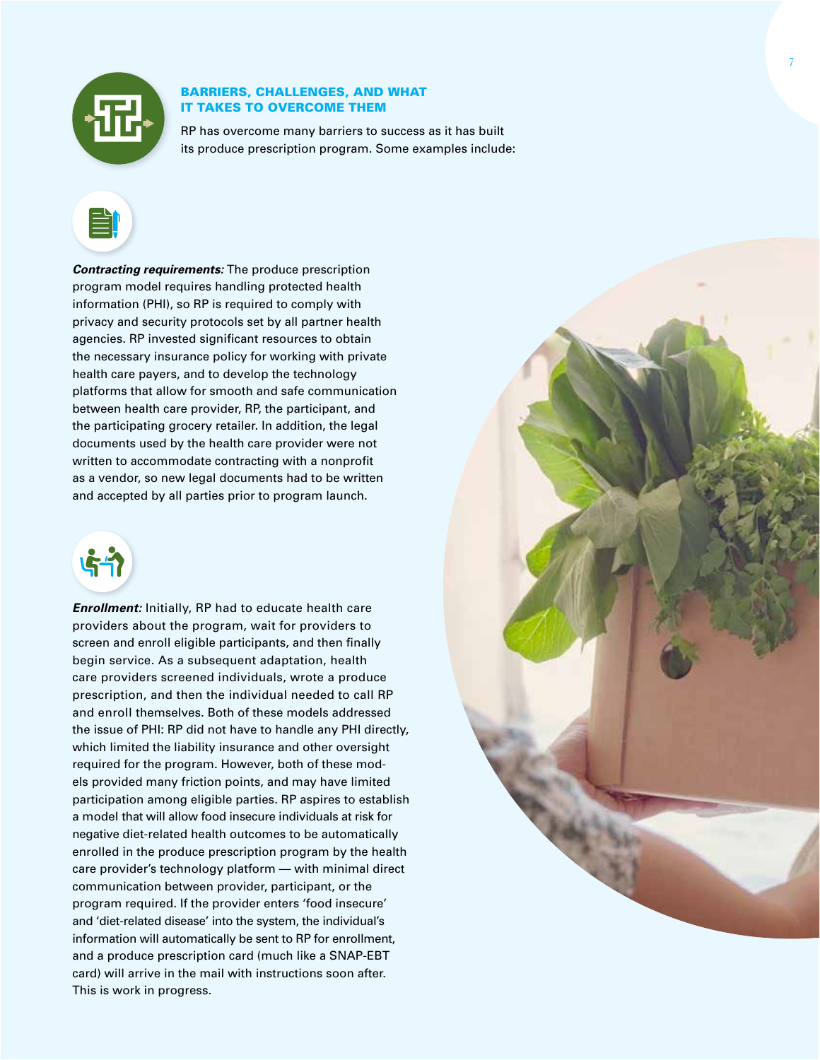

#### BARRIERS, CHALLENGES, AND WHAT IT TAKES TO OVERCOME THEM

RP has overcome many barriers to success as it has built its produce prescription program. Some examples include:



*Contracting requirements:* The produce prescription program model requires handling protected health information (PHI), so RP is required to comply with privacy and security protocols set by all partner health agencies. RP invested significant resources to obtain the necessary insurance policy for working with private health care payers, and to develop the technology platforms that allow for smooth and safe communication between health care provider, RP, the participant, and the participating grocery retailer. In addition, the legal documents used by the health care provider were not written to accommodate contracting with a nonprofit as a vendor, so new legal documents had to be written and accepted by all parties prior to program launch.



*Enrollment:* Initially, RP had to educate health care providers about the program, wait for providers to screen and enroll eligible participants, and then finally begin service. As a subsequent adaptation, health care providers screened individuals, wrote a produce prescription, and then the individual needed to call RP and enroll themselves. Both of these models addressed the issue of PHI: RP did not have to handle any PHI directly, which limited the liability insurance and other oversight required for the program. However, both of these models provided many friction points, and may have limited participation among eligible parties. RP aspires to establish a model that will allow food insecure individuals at risk for negative diet-related health outcomes to be automatically enrolled in the produce prescription program by the health care provider's technology platform — with minimal direct communication between provider, participant, or the program required. If the provider enters 'food insecure' and 'diet-related disease' into the system, the individual's information will automatically be sent to RP for enrollment, and a produce prescription card (much like a SNAP-EBT card) will arrive in the mail with instructions soon after. This is work in progress.

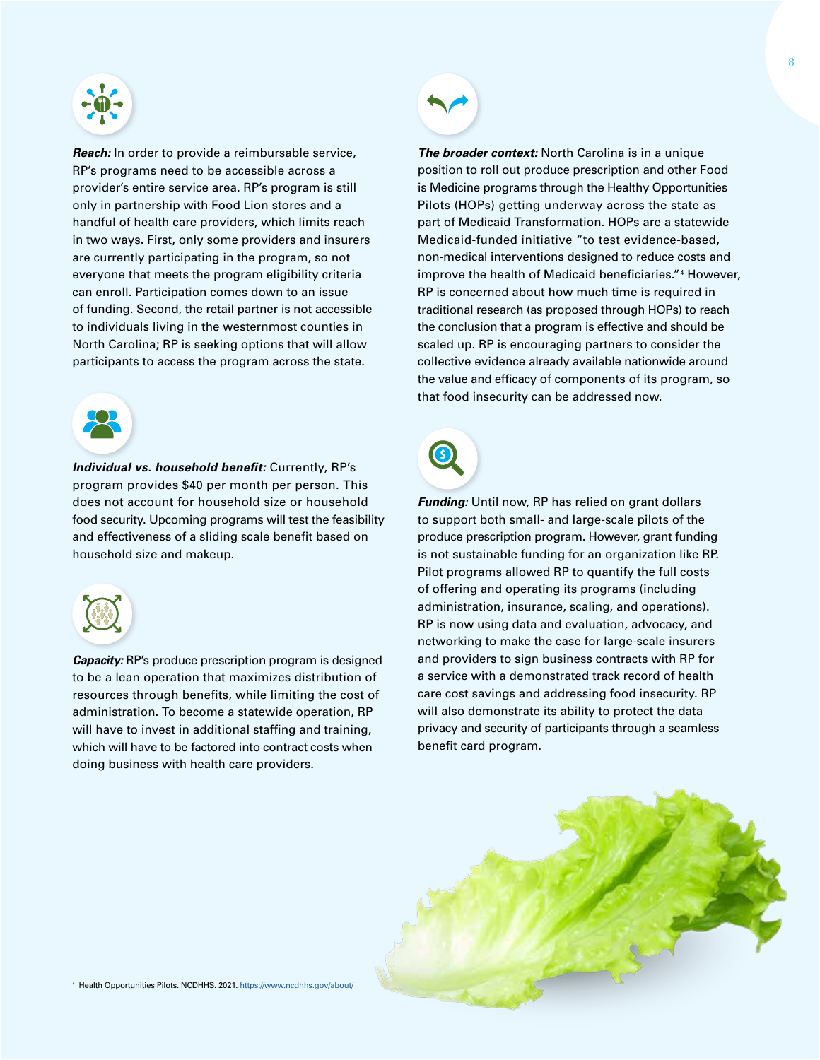

*Reach:* In order to provide a reimbursable service, RP's programs need to be accessible across a provider's entire service area. RP's program is still only in partnership with Food Lion stores and a handful of health care providers, which limits reach in two ways. First, only some providers and insurers are currently participating in the program, so not everyone that meets the program eligibility criteria can enroll. Participation comes down to an issue of funding. Second, the retail partner is not accessible to individuals living in the westernmost counties in North Carolina; RP is seeking options that will allow participants to access the program across the state.



*Individual vs. household benefit:* Currently, RP's program provides \$40 per month per person. This does not account for household size or household food security. Upcoming programs will test the feasibility and effectiveness of a sliding scale benefit based on household size and makeup.



*Capacity:* RP's produce prescription program is designed to be a lean operation that maximizes distribution of resources through benefits, while limiting the cost of administration. To become a statewide operation, RP will have to invest in additional staffing and training, which will have to be factored into contract costs when doing business with health care providers.



*The broader context:* North Carolina is in a unique position to roll out produce prescription and other Food is Medicine programs through the Healthy Opportunities Pilots (HOPs) getting underway across the state as part of Medicaid Transformation. HOPs are a statewide Medicaid-funded initiative "to test evidence-based, non-medical interventions designed to reduce costs and improve the health of Medicaid beneficiaries."4 However, RP is concerned about how much time is required in traditional research (as proposed through HOPs) to reach the conclusion that a program is effective and should be scaled up. RP is encouraging partners to consider the collective evidence already available nationwide around the value and efficacy of components of its program, so that food insecurity can be addressed now.



*Funding:* Until now, RP has relied on grant dollars to support both small- and large-scale pilots of the produce prescription program. However, grant funding is not sustainable funding for an organization like RP. Pilot programs allowed RP to quantify the full costs of offering and operating its programs (including administration, insurance, scaling, and operations). RP is now using data and evaluation, advocacy, and networking to make the case for large-scale insurers and providers to sign business contracts with RP for a service with a demonstrated track record of health care cost savings and addressing food insecurity. RP will also demonstrate its ability to protect the data privacy and security of participants through a seamless benefit card program.